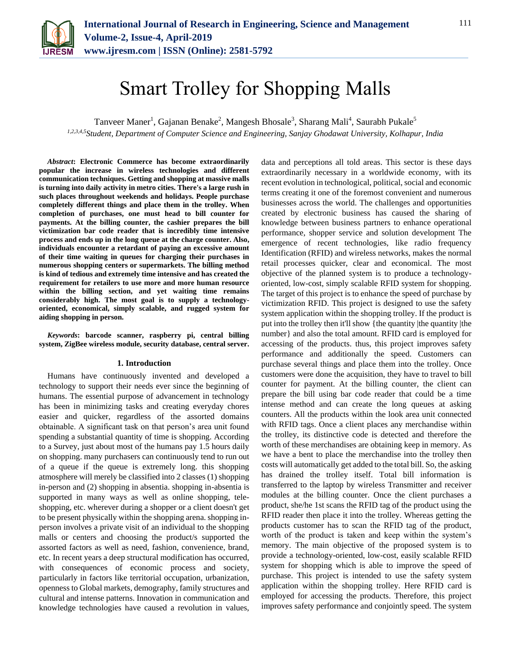

# Smart Trolley for Shopping Malls

Tanveer Maner<sup>1</sup>, Gajanan Benake<sup>2</sup>, Mangesh Bhosale<sup>3</sup>, Sharang Mali<sup>4</sup>, Saurabh Pukale<sup>5</sup>

*1,2,3,4,5Student, Department of Computer Science and Engineering, Sanjay Ghodawat University, Kolhapur, India*

*Abstract***: Electronic Commerce has become extraordinarily popular the increase in wireless technologies and different communication techniques. Getting and shopping at massive malls is turning into daily activity in metro cities. There's a large rush in such places throughout weekends and holidays. People purchase completely different things and place them in the trolley. When completion of purchases, one must head to bill counter for payments. At the billing counter, the cashier prepares the bill victimization bar code reader that is incredibly time intensive process and ends up in the long queue at the charge counter. Also, individuals encounter a retardant of paying an excessive amount of their time waiting in queues for charging their purchases in numerous shopping centers or supermarkets. The billing method is kind of tedious and extremely time intensive and has created the requirement for retailers to use more and more human resource within the billing section, and yet waiting time remains considerably high. The most goal is to supply a technologyoriented, economical, simply scalable, and rugged system for aiding shopping in person.**

*Keywords***: barcode scanner, raspberry pi, central billing system, ZigBee wireless module, security database, central server.**

#### **1. Introduction**

Humans have continuously invented and developed a technology to support their needs ever since the beginning of humans. The essential purpose of advancement in technology has been in minimizing tasks and creating everyday chores easier and quicker, regardless of the assorted domains obtainable. A significant task on that person's area unit found spending a substantial quantity of time is shopping. According to a Survey, just about most of the humans pay 1.5 hours daily on shopping. many purchasers can continuously tend to run out of a queue if the queue is extremely long. this shopping atmosphere will merely be classified into 2 classes (1) shopping in-person and (2) shopping in absentia. shopping in-absentia is supported in many ways as well as online shopping, teleshopping, etc. wherever during a shopper or a client doesn't get to be present physically within the shopping arena. shopping inperson involves a private visit of an individual to the shopping malls or centers and choosing the product/s supported the assorted factors as well as need, fashion, convenience, brand, etc. In recent years a deep structural modification has occurred, with consequences of economic process and society, particularly in factors like territorial occupation, urbanization, openness to Global markets, demography, family structures and cultural and intense patterns. Innovation in communication and knowledge technologies have caused a revolution in values,

data and perceptions all told areas. This sector is these days extraordinarily necessary in a worldwide economy, with its recent evolution in technological, political, social and economic terms creating it one of the foremost convenient and numerous businesses across the world. The challenges and opportunities created by electronic business has caused the sharing of knowledge between business partners to enhance operational performance, shopper service and solution development The emergence of recent technologies, like radio frequency Identification (RFID) and wireless networks, makes the normal retail processes quicker, clear and economical. The most objective of the planned system is to produce a technologyoriented, low-cost, simply scalable RFID system for shopping. The target of this project is to enhance the speed of purchase by victimization RFID. This project is designed to use the safety system application within the shopping trolley. If the product is put into the trolley then it'll show {the quantity |the quantity |the number} and also the total amount. RFID card is employed for accessing of the products. thus, this project improves safety performance and additionally the speed. Customers can purchase several things and place them into the trolley. Once customers were done the acquisition, they have to travel to bill counter for payment. At the billing counter, the client can prepare the bill using bar code reader that could be a time intense method and can create the long queues at asking counters. All the products within the look area unit connected with RFID tags. Once a client places any merchandise within the trolley, its distinctive code is detected and therefore the worth of these merchandises are obtaining keep in memory. As we have a bent to place the merchandise into the trolley then costs will automatically get added to the total bill. So, the asking has drained the trolley itself. Total bill information is transferred to the laptop by wireless Transmitter and receiver modules at the billing counter. Once the client purchases a product, she/he 1st scans the RFID tag of the product using the RFID reader then place it into the trolley. Whereas getting the products customer has to scan the RFID tag of the product, worth of the product is taken and keep within the system's memory. The main objective of the proposed system is to provide a technology-oriented, low-cost, easily scalable RFID system for shopping which is able to improve the speed of purchase. This project is intended to use the safety system application within the shopping trolley. Here RFID card is employed for accessing the products. Therefore, this project improves safety performance and conjointly speed. The system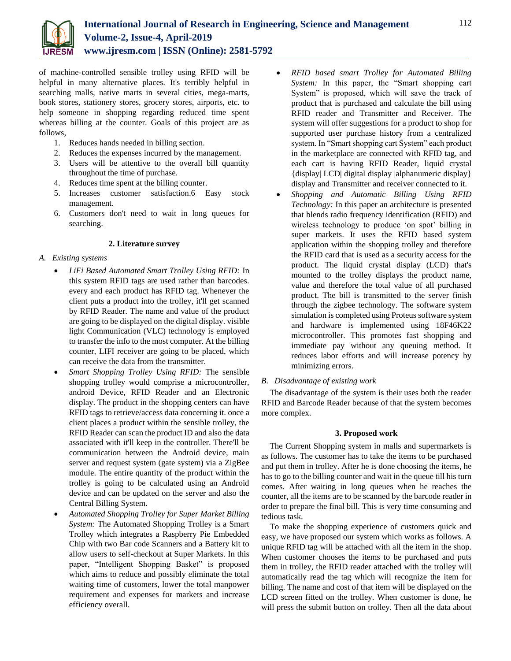

of machine-controlled sensible trolley using RFID will be helpful in many alternative places. It's terribly helpful in searching malls, native marts in several cities, mega-marts, book stores, stationery stores, grocery stores, airports, etc. to help someone in shopping regarding reduced time spent whereas billing at the counter. Goals of this project are as follows,

- 1. Reduces hands needed in billing section.
- 2. Reduces the expenses incurred by the management.
- 3. Users will be attentive to the overall bill quantity throughout the time of purchase.
- 4. Reduces time spent at the billing counter.
- 5. Increases customer satisfaction.6 Easy stock management.
- 6. Customers don't need to wait in long queues for searching.

# **2. Literature survey**

# *A. Existing systems*

- *LiFi Based Automated Smart Trolley Using RFID:* In this system RFID tags are used rather than barcodes. every and each product has RFID tag. Whenever the client puts a product into the trolley, it'll get scanned by RFID Reader. The name and value of the product are going to be displayed on the digital display. visible light Communication (VLC) technology is employed to transfer the info to the most computer. At the billing counter, LIFI receiver are going to be placed, which can receive the data from the transmitter.
- *Smart Shopping Trolley Using RFID:* The sensible shopping trolley would comprise a microcontroller, android Device, RFID Reader and an Electronic display. The product in the shopping centers can have RFID tags to retrieve/access data concerning it. once a client places a product within the sensible trolley, the RFID Reader can scan the product ID and also the data associated with it'll keep in the controller. There'll be communication between the Android device, main server and request system (gate system) via a ZigBee module. The entire quantity of the product within the trolley is going to be calculated using an Android device and can be updated on the server and also the Central Billing System.
- *Automated Shopping Trolley for Super Market Billing System:* The Automated Shopping Trolley is a Smart Trolley which integrates a Raspberry Pie Embedded Chip with two Bar code Scanners and a Battery kit to allow users to self-checkout at Super Markets. In this paper, "Intelligent Shopping Basket" is proposed which aims to reduce and possibly eliminate the total waiting time of customers, lower the total manpower requirement and expenses for markets and increase efficiency overall.
- *RFID based smart Trolley for Automated Billing System:* In this paper, the "Smart shopping cart System" is proposed, which will save the track of product that is purchased and calculate the bill using RFID reader and Transmitter and Receiver. The system will offer suggestions for a product to shop for supported user purchase history from a centralized system. In "Smart shopping cart System" each product in the marketplace are connected with RFID tag, and each cart is having RFID Reader, liquid crystal {display| LCD| digital display |alphanumeric display} display and Transmitter and receiver connected to it.
- *Shopping and Automatic Billing Using RFID Technology:* In this paper an architecture is presented that blends radio frequency identification (RFID) and wireless technology to produce 'on spot' billing in super markets. It uses the RFID based system application within the shopping trolley and therefore the RFID card that is used as a security access for the product. The liquid crystal display (LCD) that's mounted to the trolley displays the product name, value and therefore the total value of all purchased product. The bill is transmitted to the server finish through the zigbee technology. The software system simulation is completed using Proteus software system and hardware is implemented using 18F46K22 microcontroller. This promotes fast shopping and immediate pay without any queuing method. It reduces labor efforts and will increase potency by minimizing errors.

# *B. Disadvantage of existing work*

The disadvantage of the system is their uses both the reader RFID and Barcode Reader because of that the system becomes more complex.

## **3. Proposed work**

The Current Shopping system in malls and supermarkets is as follows. The customer has to take the items to be purchased and put them in trolley. After he is done choosing the items, he has to go to the billing counter and wait in the queue till his turn comes. After waiting in long queues when he reaches the counter, all the items are to be scanned by the barcode reader in order to prepare the final bill. This is very time consuming and tedious task.

To make the shopping experience of customers quick and easy, we have proposed our system which works as follows. A unique RFID tag will be attached with all the item in the shop. When customer chooses the items to be purchased and puts them in trolley, the RFID reader attached with the trolley will automatically read the tag which will recognize the item for billing. The name and cost of that item will be displayed on the LCD screen fitted on the trolley. When customer is done, he will press the submit button on trolley. Then all the data about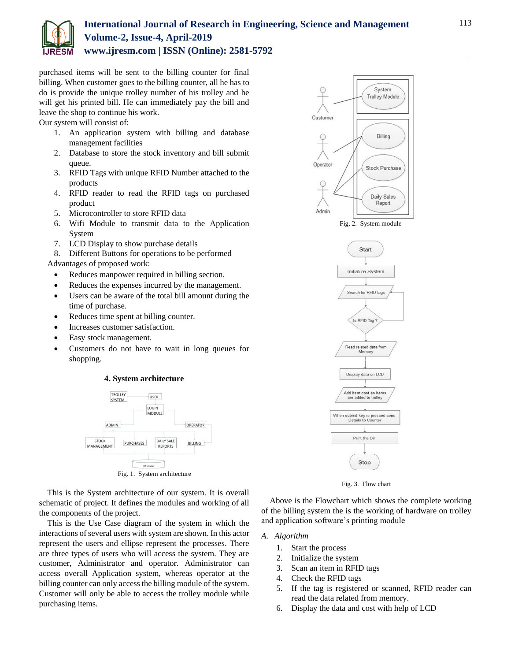

# **International Journal of Research in Engineering, Science and Management Volume-2, Issue-4, April-2019 www.ijresm.com | ISSN (Online): 2581-5792**

purchased items will be sent to the billing counter for final billing. When customer goes to the billing counter, all he has to do is provide the unique trolley number of his trolley and he will get his printed bill. He can immediately pay the bill and leave the shop to continue his work.

Our system will consist of:

- 1. An application system with billing and database management facilities
- 2. Database to store the stock inventory and bill submit queue.
- 3. RFID Tags with unique RFID Number attached to the products
- 4. RFID reader to read the RFID tags on purchased product
- 5. Microcontroller to store RFID data
- 6. Wifi Module to transmit data to the Application System
- 7. LCD Display to show purchase details
- 8. Different Buttons for operations to be performed

Advantages of proposed work:

- Reduces manpower required in billing section.
- Reduces the expenses incurred by the management.
- Users can be aware of the total bill amount during the time of purchase.
- Reduces time spent at billing counter.
- Increases customer satisfaction.
- Easy stock management.
- Customers do not have to wait in long queues for shopping.

#### **4. System architecture**



Fig. 1. System architecture

This is the System architecture of our system. It is overall schematic of project. It defines the modules and working of all the components of the project.

This is the Use Case diagram of the system in which the interactions of several users with system are shown. In this actor represent the users and ellipse represent the processes. There are three types of users who will access the system. They are customer, Administrator and operator. Administrator can access overall Application system, whereas operator at the billing counter can only access the billing module of the system. Customer will only be able to access the trolley module while purchasing items.



Fig. 2. System module





Above is the Flowchart which shows the complete working of the billing system the is the working of hardware on trolley and application software's printing module

# *A. Algorithm*

- 1. Start the process
- 2. Initialize the system
- 3. Scan an item in RFID tags
- 4. Check the RFID tags
- 5. If the tag is registered or scanned, RFID reader can read the data related from memory.
- 6. Display the data and cost with help of LCD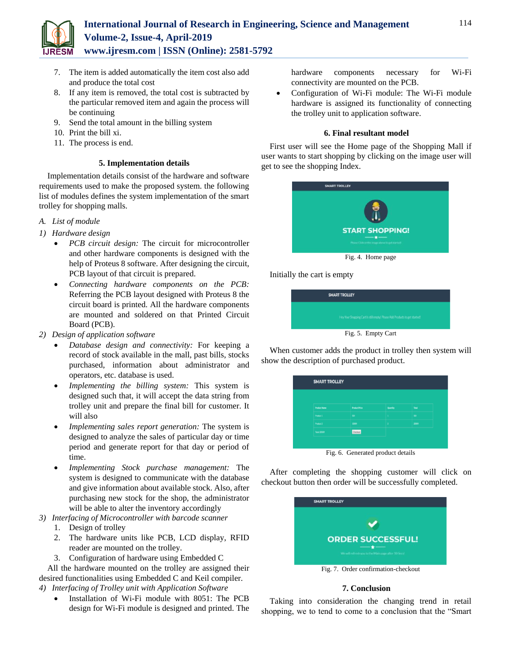

- 7. The item is added automatically the item cost also add and produce the total cost
- 8. If any item is removed, the total cost is subtracted by the particular removed item and again the process will be continuing
- 9. Send the total amount in the billing system
- 10. Print the bill xi.
- 11. The process is end.

#### **5. Implementation details**

Implementation details consist of the hardware and software requirements used to make the proposed system. the following list of modules defines the system implementation of the smart trolley for shopping malls.

- *A. List of module*
- *1) Hardware design*
	- *PCB circuit design:* The circuit for microcontroller and other hardware components is designed with the help of Proteus 8 software. After designing the circuit, PCB layout of that circuit is prepared.
	- *Connecting hardware components on the PCB:* Referring the PCB layout designed with Proteus 8 the circuit board is printed. All the hardware components are mounted and soldered on that Printed Circuit Board (PCB).
- *2) Design of application software*
	- *Database design and connectivity:* For keeping a record of stock available in the mall, past bills, stocks purchased, information about administrator and operators, etc. database is used.
	- *Implementing the billing system:* This system is designed such that, it will accept the data string from trolley unit and prepare the final bill for customer. It will also
	- *Implementing sales report generation:* The system is designed to analyze the sales of particular day or time period and generate report for that day or period of time.
	- *Implementing Stock purchase management:* The system is designed to communicate with the database and give information about available stock. Also, after purchasing new stock for the shop, the administrator will be able to alter the inventory accordingly
- *3) Interfacing of Microcontroller with barcode scanner*
	- 1. Design of trolley
	- 2. The hardware units like PCB, LCD display, RFID reader are mounted on the trolley.
	- 3. Configuration of hardware using Embedded C

All the hardware mounted on the trolley are assigned their desired functionalities using Embedded C and Keil compiler. *4) Interfacing of Trolley unit with Application Software*

 Installation of Wi-Fi module with 8051: The PCB design for Wi-Fi module is designed and printed. The hardware components necessary for Wi-Fi connectivity are mounted on the PCB.

 Configuration of Wi-Fi module: The Wi-Fi module hardware is assigned its functionality of connecting the trolley unit to application software.

### **6. Final resultant model**

First user will see the Home page of the Shopping Mall if user wants to start shopping by clicking on the image user will get to see the shopping Index.



Initially the cart is empty



When customer adds the product in trolley then system will show the description of purchased product.

| <b>Product Name</b> | <b>Product Price</b> | Quantity | <b>Tekst</b> |
|---------------------|----------------------|----------|--------------|
| Product 1           | sor.                 | н.       | <b>SOF</b>   |
| Product 2           | 3000t                | $\Delta$ | 20005        |
| Total 2050t         | Checkout             |          |              |

Fig. 6. Generated product details

After completing the shopping customer will click on checkout button then order will be successfully completed.

| <b>SMART TROLLEY</b>                                |
|-----------------------------------------------------|
|                                                     |
| <b>ORDER SUCCESSFUL!</b>                            |
| We will refresh you to the Main page after 10 Secs! |
| Fig. 7. Order confirmation-checkout                 |

#### **7. Conclusion**

Taking into consideration the changing trend in retail shopping, we to tend to come to a conclusion that the "Smart